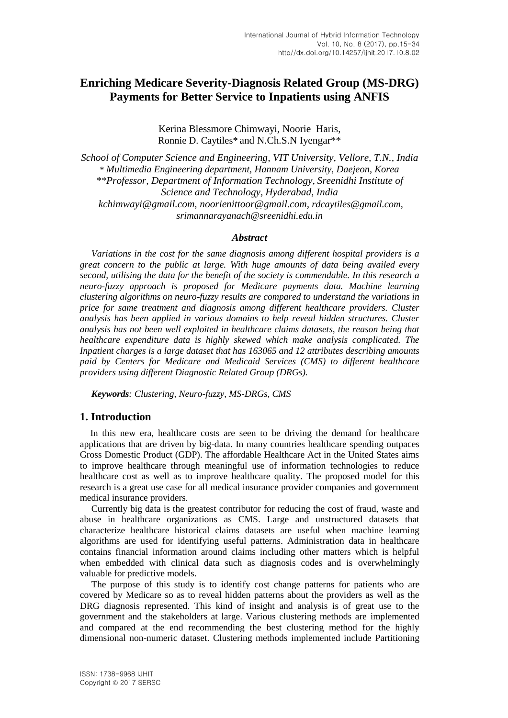# **Enriching Medicare Severity-Diagnosis Related Group (MS-DRG) Payments for Better Service to Inpatients using ANFIS**

Kerina Blessmore Chimwayi, Noorie Haris, Ronnie D. Caytiles\* and N.Ch.S.N Iyengar\*\*

*School of Computer Science and Engineering, VIT University, Vellore, T.N., India* \* *Multimedia Engineering department, Hannam University, Daejeon, Korea \*\*Professor, Department of Information Technology, Sreenidhi Institute of Science and Technology, Hyderabad, India kchimwayi@gmail.com, noorienittoor@gmail.com, rdcaytiles@gmail.com, srimannarayanach@sreenidhi.edu.in*

#### *Abstract*

*Variations in the cost for the same diagnosis among different hospital providers is a great concern to the public at large. With huge amounts of data being availed every second, utilising the data for the benefit of the society is commendable. In this research a neuro-fuzzy approach is proposed for Medicare payments data. Machine learning clustering algorithms on neuro-fuzzy results are compared to understand the variations in price for same treatment and diagnosis among different healthcare providers. Cluster analysis has been applied in various domains to help reveal hidden structures. Cluster analysis has not been well exploited in healthcare claims datasets, the reason being that healthcare expenditure data is highly skewed which make analysis complicated. The Inpatient charges is a large dataset that has 163065 and 12 attributes describing amounts paid by Centers for Medicare and Medicaid Services (CMS) to different healthcare providers using different Diagnostic Related Group (DRGs).* 

*Keywords: Clustering, Neuro-fuzzy, MS-DRGs, CMS*

#### **1. Introduction**

In this new era, healthcare costs are seen to be driving the demand for healthcare applications that are driven by big-data. In many countries healthcare spending outpaces Gross Domestic Product (GDP). The affordable Healthcare Act in the United States aims to improve healthcare through meaningful use of information technologies to reduce healthcare cost as well as to improve healthcare quality. The proposed model for this research is a great use case for all medical insurance provider companies and government medical insurance providers.

Currently big data is the greatest contributor for reducing the cost of fraud, waste and abuse in healthcare organizations as CMS. Large and unstructured datasets that characterize healthcare historical claims datasets are useful when machine learning algorithms are used for identifying useful patterns. Administration data in healthcare contains financial information around claims including other matters which is helpful when embedded with clinical data such as diagnosis codes and is overwhelmingly valuable for predictive models.

The purpose of this study is to identify cost change patterns for patients who are covered by Medicare so as to reveal hidden patterns about the providers as well as the DRG diagnosis represented. This kind of insight and analysis is of great use to the government and the stakeholders at large. Various clustering methods are implemented and compared at the end recommending the best clustering method for the highly dimensional non-numeric dataset. Clustering methods implemented include Partitioning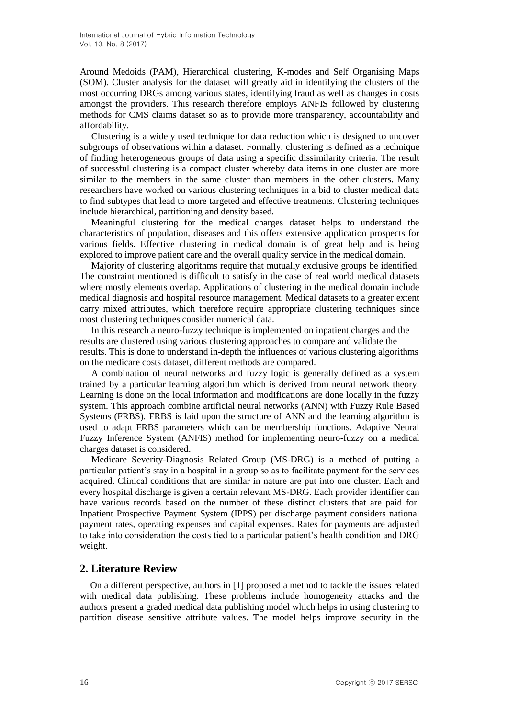Around Medoids (PAM), Hierarchical clustering, K-modes and Self Organising Maps (SOM). Cluster analysis for the dataset will greatly aid in identifying the clusters of the most occurring DRGs among various states, identifying fraud as well as changes in costs amongst the providers. This research therefore employs ANFIS followed by clustering methods for CMS claims dataset so as to provide more transparency, accountability and affordability.

Clustering is a widely used technique for data reduction which is designed to uncover subgroups of observations within a dataset. Formally, clustering is defined as a technique of finding heterogeneous groups of data using a specific dissimilarity criteria. The result of successful clustering is a compact cluster whereby data items in one cluster are more similar to the members in the same cluster than members in the other clusters. Many researchers have worked on various clustering techniques in a bid to cluster medical data to find subtypes that lead to more targeted and effective treatments. Clustering techniques include hierarchical, partitioning and density based.

Meaningful clustering for the medical charges dataset helps to understand the characteristics of population, diseases and this offers extensive application prospects for various fields. Effective clustering in medical domain is of great help and is being explored to improve patient care and the overall quality service in the medical domain.

Majority of clustering algorithms require that mutually exclusive groups be identified. The constraint mentioned is difficult to satisfy in the case of real world medical datasets where mostly elements overlap. Applications of clustering in the medical domain include medical diagnosis and hospital resource management. Medical datasets to a greater extent carry mixed attributes, which therefore require appropriate clustering techniques since most clustering techniques consider numerical data.

In this research a neuro-fuzzy technique is implemented on inpatient charges and the results are clustered using various clustering approaches to compare and validate the results. This is done to understand in-depth the influences of various clustering algorithms on the medicare costs dataset, different methods are compared.

A combination of neural networks and fuzzy logic is generally defined as a system trained by a particular learning algorithm which is derived from neural network theory. Learning is done on the local information and modifications are done locally in the fuzzy system. This approach combine artificial neural networks (ANN) with Fuzzy Rule Based Systems (FRBS). FRBS is laid upon the structure of ANN and the learning algorithm is used to adapt FRBS parameters which can be membership functions. Adaptive Neural Fuzzy Inference System (ANFIS) method for implementing neuro-fuzzy on a medical charges dataset is considered.

Medicare Severity-Diagnosis Related Group (MS-DRG) is a method of putting a particular patient's stay in a hospital in a group so as to facilitate payment for the services acquired. Clinical conditions that are similar in nature are put into one cluster. Each and every hospital discharge is given a certain relevant MS-DRG. Each provider identifier can have various records based on the number of these distinct clusters that are paid for. Inpatient Prospective Payment System (IPPS) per discharge payment considers national payment rates, operating expenses and capital expenses. Rates for payments are adjusted to take into consideration the costs tied to a particular patient's health condition and DRG weight.

### **2. Literature Review**

On a different perspective, authors in [1] proposed a method to tackle the issues related with medical data publishing. These problems include homogeneity attacks and the authors present a graded medical data publishing model which helps in using clustering to partition disease sensitive attribute values. The model helps improve security in the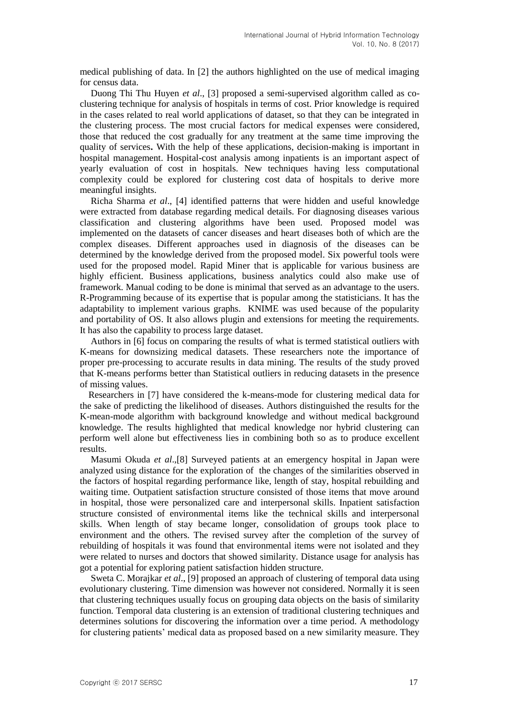medical publishing of data. In [2] the authors highlighted on the use of medical imaging for census data.

 Duong Thi Thu Huyen *et al*., [3] proposed a semi-supervised algorithm called as coclustering technique for analysis of hospitals in terms of cost. Prior knowledge is required in the cases related to real world applications of dataset, so that they can be integrated in the clustering process. The most crucial factors for medical expenses were considered, those that reduced the cost gradually for any treatment at the same time improving the quality of services**.** With the help of these applications, decision-making is important in hospital management. Hospital-cost analysis among inpatients is an important aspect of yearly evaluation of cost in hospitals. New techniques having less computational complexity could be explored for clustering cost data of hospitals to derive more meaningful insights.

 Richa Sharma *et al*., [4] identified patterns that were hidden and useful knowledge were extracted from database regarding medical details. For diagnosing diseases various classification and clustering algorithms have been used. Proposed model was implemented on the datasets of cancer diseases and heart diseases both of which are the complex diseases. Different approaches used in diagnosis of the diseases can be determined by the knowledge derived from the proposed model. Six powerful tools were used for the proposed model. Rapid Miner that is applicable for various business are highly efficient. Business applications, business analytics could also make use of framework. Manual coding to be done is minimal that served as an advantage to the users. R-Programming because of its expertise that is popular among the statisticians. It has the adaptability to implement various graphs. KNIME was used because of the popularity and portability of OS. It also allows plugin and extensions for meeting the requirements. It has also the capability to process large dataset.

 Authors in [6] focus on comparing the results of what is termed statistical outliers with K-means for downsizing medical datasets. These researchers note the importance of proper pre-processing to accurate results in data mining. The results of the study proved that K-means performs better than Statistical outliers in reducing datasets in the presence of missing values.

 Researchers in [7] have considered the k-means-mode for clustering medical data for the sake of predicting the likelihood of diseases. Authors distinguished the results for the K-mean-mode algorithm with background knowledge and without medical background knowledge. The results highlighted that medical knowledge nor hybrid clustering can perform well alone but effectiveness lies in combining both so as to produce excellent results.

 Masumi Okuda *et al*.,[8] Surveyed patients at an emergency hospital in Japan were analyzed using distance for the exploration of the changes of the similarities observed in the factors of hospital regarding performance like, length of stay, hospital rebuilding and waiting time. Outpatient satisfaction structure consisted of those items that move around in hospital, those were personalized care and interpersonal skills. Inpatient satisfaction structure consisted of environmental items like the technical skills and interpersonal skills. When length of stay became longer, consolidation of groups took place to environment and the others. The revised survey after the completion of the survey of rebuilding of hospitals it was found that environmental items were not isolated and they were related to nurses and doctors that showed similarity. Distance usage for analysis has got a potential for exploring patient satisfaction hidden structure.

 Sweta C. Morajkar *et al*., [9] proposed an approach of clustering of temporal data using evolutionary clustering. Time dimension was however not considered. Normally it is seen that clustering techniques usually focus on grouping data objects on the basis of similarity function. Temporal data clustering is an extension of traditional clustering techniques and determines solutions for discovering the information over a time period. A methodology for clustering patients' medical data as proposed based on a new similarity measure. They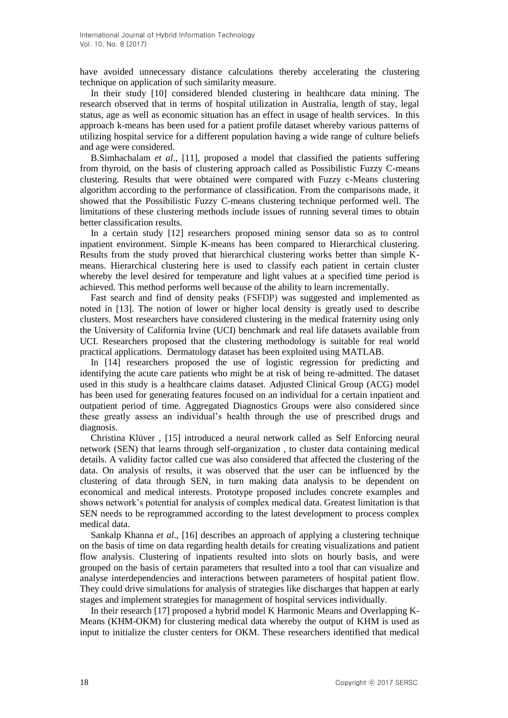have avoided unnecessary distance calculations thereby accelerating the clustering technique on application of such similarity measure.

 In their study [10] considered blended clustering in healthcare data mining. The research observed that in terms of hospital utilization in Australia, length of stay, legal status, age as well as economic situation has an effect in usage of health services. In this approach k-means has been used for a patient profile dataset whereby various patterns of utilizing hospital service for a different population having a wide range of culture beliefs and age were considered.

 B.Simhachalam *et al*., [11], proposed a model that classified the patients suffering from thyroid, on the basis of clustering approach called as Possibilistic Fuzzy C-means clustering. Results that were obtained were compared with Fuzzy c-Means clustering algorithm according to the performance of classification. From the comparisons made, it showed that the Possibilistic Fuzzy C-means clustering technique performed well. The limitations of these clustering methods include issues of running several times to obtain better classification results.

 In a certain study [12] researchers proposed mining sensor data so as to control inpatient environment. Simple K-means has been compared to Hierarchical clustering. Results from the study proved that hierarchical clustering works better than simple Kmeans. Hierarchical clustering here is used to classify each patient in certain cluster whereby the level desired for temperature and light values at a specified time period is achieved. This method performs well because of the ability to learn incrementally.

 Fast search and find of density peaks (FSFDP) was suggested and implemented as noted in [13]. The notion of lower or higher local density is greatly used to describe clusters. Most researchers have considered clustering in the medical fraternity using only the University of California Irvine (UCI) benchmark and real life datasets available from UCI. Researchers proposed that the clustering methodology is suitable for real world practical applications. Dermatology dataset has been exploited using MATLAB.

 In [14] researchers proposed the use of logistic regression for predicting and identifying the acute care patients who might be at risk of being re-admitted. The dataset used in this study is a healthcare claims dataset. Adjusted Clinical Group (ACG) model has been used for generating features focused on an individual for a certain inpatient and outpatient period of time. Aggregated Diagnostics Groups were also considered since these greatly assess an individual's health through the use of prescribed drugs and diagnosis.

 Christina Klüver , [15] introduced a neural network called as Self Enforcing neural network (SEN) that learns through self-organization , to cluster data containing medical details. A validity factor called cue was also considered that affected the clustering of the data. On analysis of results, it was observed that the user can be influenced by the clustering of data through SEN, in turn making data analysis to be dependent on economical and medical interests. Prototype proposed includes concrete examples and shows network's potential for analysis of complex medical data. Greatest limitation is that SEN needs to be reprogrammed according to the latest development to process complex medical data.

 Sankalp Khanna *et al*., [16] describes an approach of applying a clustering technique on the basis of time on data regarding health details for creating visualizations and patient flow analysis. Clustering of inpatients resulted into slots on hourly basis, and were grouped on the basis of certain parameters that resulted into a tool that can visualize and analyse interdependencies and interactions between parameters of hospital patient flow. They could drive simulations for analysis of strategies like discharges that happen at early stages and implement strategies for management of hospital services individually.

 In their research [17] proposed a hybrid model K Harmonic Means and Overlapping K-Means (KHM-OKM) for clustering medical data whereby the output of KHM is used as input to initialize the cluster centers for OKM. These researchers identified that medical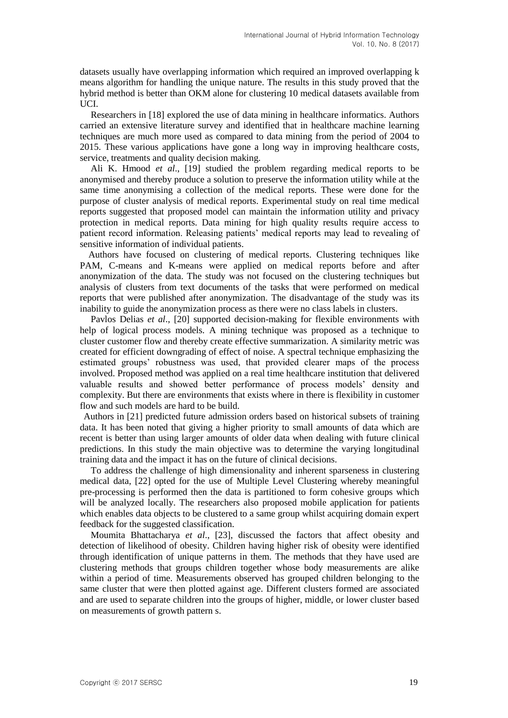datasets usually have overlapping information which required an improved overlapping k means algorithm for handling the unique nature. The results in this study proved that the hybrid method is better than OKM alone for clustering 10 medical datasets available from UCI.

 Researchers in [18] explored the use of data mining in healthcare informatics. Authors carried an extensive literature survey and identified that in healthcare machine learning techniques are much more used as compared to data mining from the period of 2004 to 2015. These various applications have gone a long way in improving healthcare costs, service, treatments and quality decision making.

 Ali K. Hmood *et al*., [19] studied the problem regarding medical reports to be anonymised and thereby produce a solution to preserve the information utility while at the same time anonymising a collection of the medical reports. These were done for the purpose of cluster analysis of medical reports. Experimental study on real time medical reports suggested that proposed model can maintain the information utility and privacy protection in medical reports. Data mining for high quality results require access to patient record information. Releasing patients' medical reports may lead to revealing of sensitive information of individual patients.

 Authors have focused on clustering of medical reports. Clustering techniques like PAM, C-means and K-means were applied on medical reports before and after anonymization of the data. The study was not focused on the clustering techniques but analysis of clusters from text documents of the tasks that were performed on medical reports that were published after anonymization. The disadvantage of the study was its inability to guide the anonymization process as there were no class labels in clusters.

 Pavlos Delias *et al*., [20] supported decision-making for flexible environments with help of logical process models. A mining technique was proposed as a technique to cluster customer flow and thereby create effective summarization. A similarity metric was created for efficient downgrading of effect of noise. A spectral technique emphasizing the estimated groups' robustness was used, that provided clearer maps of the process involved. Proposed method was applied on a real time healthcare institution that delivered valuable results and showed better performance of process models' density and complexity. But there are environments that exists where in there is flexibility in customer flow and such models are hard to be build.

Authors in [21] predicted future admission orders based on historical subsets of training data. It has been noted that giving a higher priority to small amounts of data which are recent is better than using larger amounts of older data when dealing with future clinical predictions. In this study the main objective was to determine the varying longitudinal training data and the impact it has on the future of clinical decisions.

 To address the challenge of high dimensionality and inherent sparseness in clustering medical data, [22] opted for the use of Multiple Level Clustering whereby meaningful pre-processing is performed then the data is partitioned to form cohesive groups which will be analyzed locally. The researchers also proposed mobile application for patients which enables data objects to be clustered to a same group whilst acquiring domain expert feedback for the suggested classification.

 Moumita Bhattacharya *et al*., [23], discussed the factors that affect obesity and detection of likelihood of obesity. Children having higher risk of obesity were identified through identification of unique patterns in them. The methods that they have used are clustering methods that groups children together whose body measurements are alike within a period of time. Measurements observed has grouped children belonging to the same cluster that were then plotted against age. Different clusters formed are associated and are used to separate children into the groups of higher, middle, or lower cluster based on measurements of growth pattern s.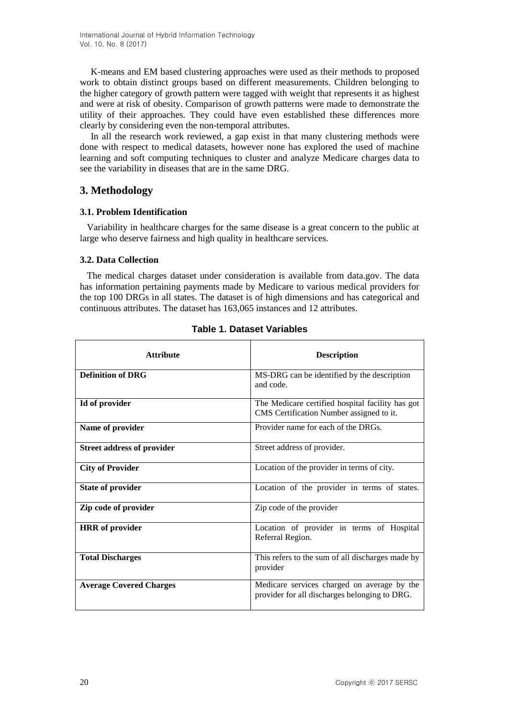K-means and EM based clustering approaches were used as their methods to proposed work to obtain distinct groups based on different measurements. Children belonging to the higher category of growth pattern were tagged with weight that represents it as highest and were at risk of obesity. Comparison of growth patterns were made to demonstrate the utility of their approaches. They could have even established these differences more clearly by considering even the non-temporal attributes.

 In all the research work reviewed, a gap exist in that many clustering methods were done with respect to medical datasets, however none has explored the used of machine learning and soft computing techniques to cluster and analyze Medicare charges data to see the variability in diseases that are in the same DRG.

## **3. Methodology**

### **3.1. Problem Identification**

 Variability in healthcare charges for the same disease is a great concern to the public at large who deserve fairness and high quality in healthcare services.

### **3.2. Data Collection**

 The medical charges dataset under consideration is available from data.gov. The data has information pertaining payments made by Medicare to various medical providers for the top 100 DRGs in all states. The dataset is of high dimensions and has categorical and continuous attributes. The dataset has 163,065 instances and 12 attributes.

| <b>Attribute</b>                  | <b>Description</b>                                                                           |
|-----------------------------------|----------------------------------------------------------------------------------------------|
| <b>Definition of DRG</b>          | MS-DRG can be identified by the description<br>and code.                                     |
| Id of provider                    | The Medicare certified hospital facility has got<br>CMS Certification Number assigned to it. |
| Name of provider                  | Provider name for each of the DRGs.                                                          |
| <b>Street address of provider</b> | Street address of provider.                                                                  |
| <b>City of Provider</b>           | Location of the provider in terms of city.                                                   |
| <b>State of provider</b>          | Location of the provider in terms of states.                                                 |
| Zip code of provider              | Zip code of the provider                                                                     |
| <b>HRR</b> of provider            | Location of provider in terms of Hospital<br>Referral Region.                                |
| <b>Total Discharges</b>           | This refers to the sum of all discharges made by<br>provider                                 |
| <b>Average Covered Charges</b>    | Medicare services charged on average by the<br>provider for all discharges belonging to DRG. |

**Table 1. Dataset Variables**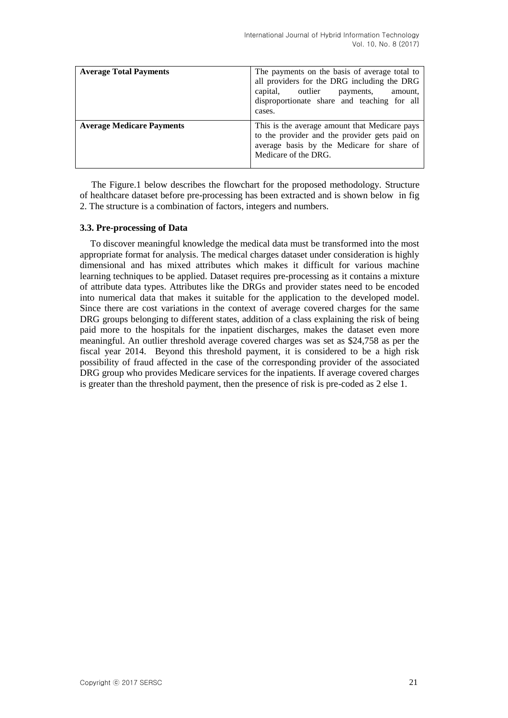| <b>Average Total Payments</b>    | The payments on the basis of average total to<br>all providers for the DRG including the DRG<br>capital, outlier payments,<br>amount,<br>disproportionate share and teaching for all<br>cases. |
|----------------------------------|------------------------------------------------------------------------------------------------------------------------------------------------------------------------------------------------|
| <b>Average Medicare Payments</b> | This is the average amount that Medicare pays<br>to the provider and the provider gets paid on<br>average basis by the Medicare for share of<br>Medicare of the DRG.                           |

The Figure.1 below describes the flowchart for the proposed methodology. Structure of healthcare dataset before pre-processing has been extracted and is shown below in fig 2. The structure is a combination of factors, integers and numbers.

#### **3.3. Pre-processing of Data**

To discover meaningful knowledge the medical data must be transformed into the most appropriate format for analysis. The medical charges dataset under consideration is highly dimensional and has mixed attributes which makes it difficult for various machine learning techniques to be applied. Dataset requires pre-processing as it contains a mixture of attribute data types. Attributes like the DRGs and provider states need to be encoded into numerical data that makes it suitable for the application to the developed model. Since there are cost variations in the context of average covered charges for the same DRG groups belonging to different states, addition of a class explaining the risk of being paid more to the hospitals for the inpatient discharges, makes the dataset even more meaningful. An outlier threshold average covered charges was set as \$24,758 as per the fiscal year 2014. Beyond this threshold payment, it is considered to be a high risk possibility of fraud affected in the case of the corresponding provider of the associated DRG group who provides Medicare services for the inpatients. If average covered charges is greater than the threshold payment, then the presence of risk is pre-coded as 2 else 1.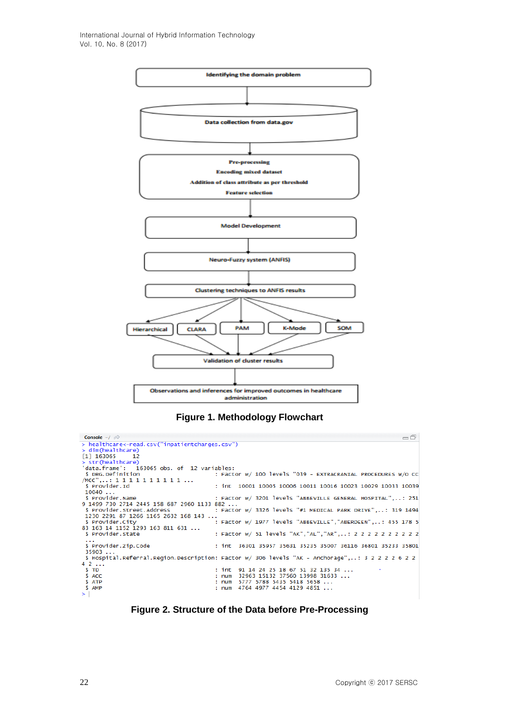

**Figure 1. Methodology Flowchart**

| Console $\sim$ / $\approx$                       | =ā                                                                                               |
|--------------------------------------------------|--------------------------------------------------------------------------------------------------|
| $>$ healthcare<-read.csv("inpatientcharges.csv") |                                                                                                  |
| $>$ dim(healthcare)                              |                                                                                                  |
| $\begin{bmatrix} 1 \end{bmatrix}$ 163065 12      |                                                                                                  |
| > str(headthcare)                                |                                                                                                  |
| 'data.frame': 163065 obs. of 12 variables:       |                                                                                                  |
| \$ DRG. Definition                               | : Factor w/ 100 levels "039 - EXTRACRANIAL PROCEDURES W/O CC                                     |
| $/MCC$ ": 1 1 1 1 1 1 1 1 1 1                    |                                                                                                  |
| \$ Provider.Id                                   | : int 10001 10005 10006 10011 10016 10023 10029 10033 10039                                      |
| 10040                                            |                                                                                                  |
|                                                  |                                                                                                  |
| 9 1499 730 2714 2445 158 687 2960 1133 882       |                                                                                                  |
| \$ Provider.Street.Address                       | : Factor w/ 3326 levels "#1 MEDICAL PARK DRIVE": 319 1494                                        |
| 1230 2291 87 1266 1165 2632 168 143              |                                                                                                  |
| \$ Provider.City                                 | : Factor w/ 1977 levels "ABBEVILLE", "ABERDEEN",: 455 178 5                                      |
| 83 163 14 1152 1293 163 811 631                  |                                                                                                  |
| \$ Provider. State                               | : Factor w/ 51 levels "AK","AL","AR",: 2 2 2 2 2 2 2 2 2 2                                       |
| $\sim$ $\sim$ $\sim$<br>\$ Provider.Zip.Code     |                                                                                                  |
| 35903                                            |                                                                                                  |
|                                                  | \$ Hospital.Referral.Region.Description: Factor w/ 306 levels "AK - Anchorage",: 3 2 2 2 2 6 2 2 |
| 42                                               |                                                                                                  |
| S TD                                             | : int $91$ 14 24 25 18 67 51 32 135 34                                                           |
| \$ ACC                                           | : num 32963 15132 37560 13998 31633                                                              |
| \$ ATP                                           | : num 5777 5788 5435 5418 5658                                                                   |
| \$ AMP                                           | : num $4764$ $4977$ $4454$ $4129$ $4851$                                                         |
| $\geq$                                           |                                                                                                  |

**Figure 2. Structure of the Data before Pre-Processing**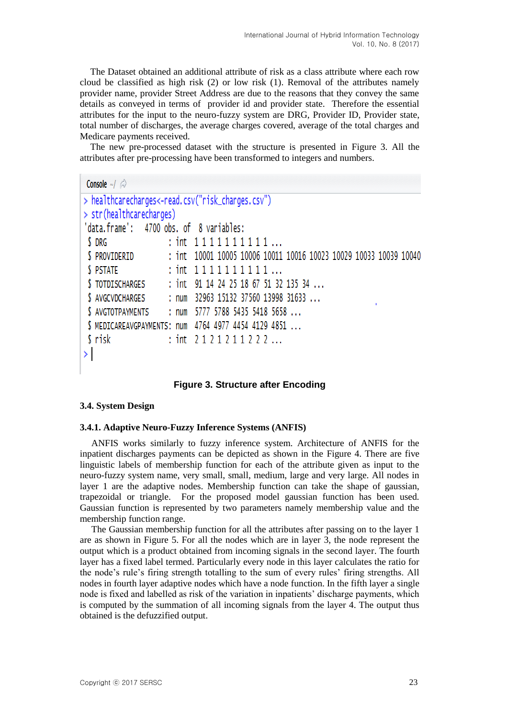The Dataset obtained an additional attribute of risk as a class attribute where each row cloud be classified as high risk (2) or low risk (1). Removal of the attributes namely provider name, provider Street Address are due to the reasons that they convey the same details as conveyed in terms of provider id and provider state. Therefore the essential attributes for the input to the neuro-fuzzy system are DRG, Provider ID, Provider state, total number of discharges, the average charges covered, average of the total charges and Medicare payments received.

The new pre-processed dataset with the structure is presented in Figure 3. All the attributes after pre-processing have been transformed to integers and numbers.

```
Console \sim/ \triangle> healthcarecharges<-read.csv("risk_charges.csv")
> str(healthcarecharge)'data.frame': 4700 obs. of 8 variables:
$ DRG
                     : int 1111111111...: int 10001 10005 10006 10011 10016 10023 10029 10033 10039 10040
$ PROVIDERID
                     : int 1111111111...S PSTATE
S TOTDISCHARGES
                     : int 91 14 24 25 18 67 51 32 135 34 ...
                     : num 32963 15132 37560 13998 31633 ...
 $ AVGCVDCHARGES
$ AVGTOTPAYMENTS
                     : num 5777 5788 5435 5418 5658 ...
$ MEDICAREAVGPAYMENTS: num 4764 4977 4454 4129 4851 ...
S risk
                     : int 2121211222...
\geq
```
**Figure 3. Structure after Encoding**

#### **3.4. System Design**

#### **3.4.1. Adaptive Neuro-Fuzzy Inference Systems (ANFIS)**

ANFIS works similarly to fuzzy inference system. Architecture of ANFIS for the inpatient discharges payments can be depicted as shown in the Figure 4. There are five linguistic labels of membership function for each of the attribute given as input to the neuro-fuzzy system name, very small, small, medium, large and very large. All nodes in layer 1 are the adaptive nodes. Membership function can take the shape of gaussian, trapezoidal or triangle. For the proposed model gaussian function has been used. Gaussian function is represented by two parameters namely membership value and the membership function range.

The Gaussian membership function for all the attributes after passing on to the layer 1 are as shown in Figure 5. For all the nodes which are in layer 3, the node represent the output which is a product obtained from incoming signals in the second layer. The fourth layer has a fixed label termed. Particularly every node in this layer calculates the ratio for the node's rule's firing strength totalling to the sum of every rules' firing strengths. All nodes in fourth layer adaptive nodes which have a node function. In the fifth layer a single node is fixed and labelled as risk of the variation in inpatients' discharge payments, which is computed by the summation of all incoming signals from the layer 4. The output thus obtained is the defuzzified output.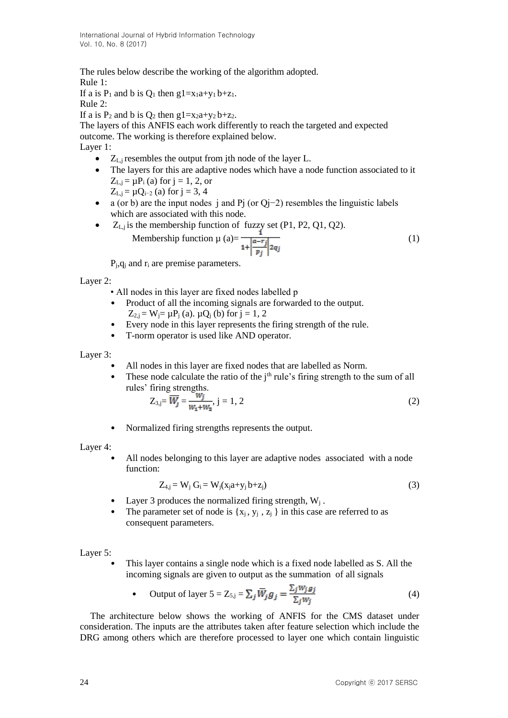The rules below describe the working of the algorithm adopted.

Rule 1:

If a is  $P_1$  and b is  $Q_1$  then g1=x<sub>1</sub>a+y<sub>1</sub> b+z<sub>1</sub>. Rule 2:

If a is  $P_2$  and b is  $Q_2$  then g1=x<sub>2</sub>a+y<sub>2</sub> b+z<sub>2</sub>.

The layers of this ANFIS each work differently to reach the targeted and expected outcome. The working is therefore explained below. Layer 1:

- $\bullet$   $Z_{L,i}$  resembles the output from jth node of the layer L.
- The layers for this are adaptive nodes which have a node function associated to it  $Z_{L,j} = \mu P_i$  (a) for  $j = 1, 2$ , or
	- $Z_{L,j} = \mu Q_{i-2}$  (a) for j = 3, 4
- a (or b) are the input nodes j and Pj (or Qj−2) resembles the linguistic labels which are associated with this node.
- $\bullet$   $Z_{L,j}$  is the membership function of fuzzy set (P1, P2, Q1, Q2). S the membership function of the  $\frac{1}{1 + \left|\frac{a - r_j}{r_j}\right| 2q_j}$  (1)

 $P_j$ , $q_j$  and  $r_i$  are premise parameters.

Layer 2:

- All nodes in this layer are fixed nodes labelled p
- Product of all the incoming signals are forwarded to the output.
	- $Z_{2,j} = W_j = \mu P_j$  (a).  $\mu Q_j$  (b) for  $j = 1, 2$
- Every node in this layer represents the firing strength of the rule.
- T-norm operator is used like AND operator.

Layer 3:

- All nodes in this layer are fixed nodes that are labelled as Norm.
- These node calculate the ratio of the  $j<sup>th</sup>$  rule's firing strength to the sum of all rules' firing strengths.

$$
Z_{3,j} = \overline{W_j} = \frac{W_j}{W_1 + W_2}, j = 1, 2
$$
 (2)

• Normalized firing strengths represents the output.

Layer 4:

All nodes belonging to this layer are adaptive nodes associated with a node function:

$$
Z_{4,j} = W_j G_i = W_j(x_j a + y_j b + z_j)
$$
\n
$$
(3)
$$

- Layer 3 produces the normalized firing strength,  $W_i$ .
- The parameter set of node is  $\{x_j, y_j, z_j\}$  in this case are referred to as consequent parameters.

Layer 5:

This layer contains a single node which is a fixed node labelled as S. All the incoming signals are given to output as the summation of all signals

• Output of layer 
$$
5 = Z_{5,j} = \sum_j \overline{W}_j g_j = \frac{\sum_j w_j g_j}{\sum_j w_j}
$$
 (4)

The architecture below shows the working of ANFIS for the CMS dataset under consideration. The inputs are the attributes taken after feature selection which include the DRG among others which are therefore processed to layer one which contain linguistic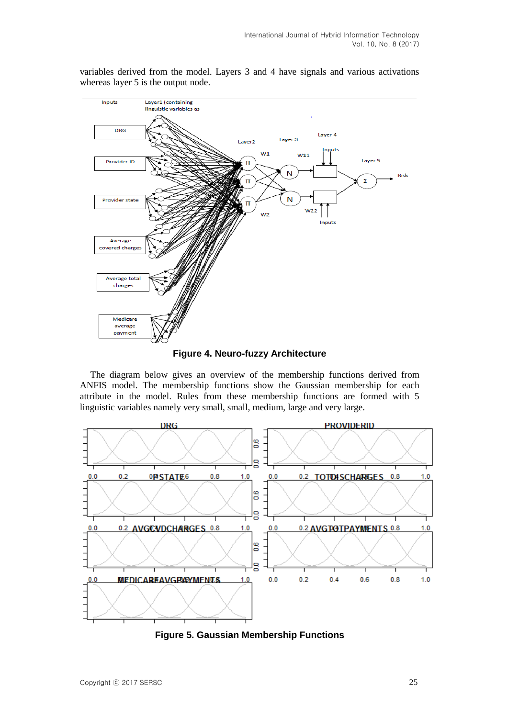variables derived from the model. Layers 3 and 4 have signals and various activations whereas layer 5 is the output node.



**Figure 4. Neuro-fuzzy Architecture**

The diagram below gives an overview of the membership functions derived from ANFIS model. The membership functions show the Gaussian membership for each attribute in the model. Rules from these membership functions are formed with 5 linguistic variables namely very small, small, medium, large and very large.



**Figure 5. Gaussian Membership Functions**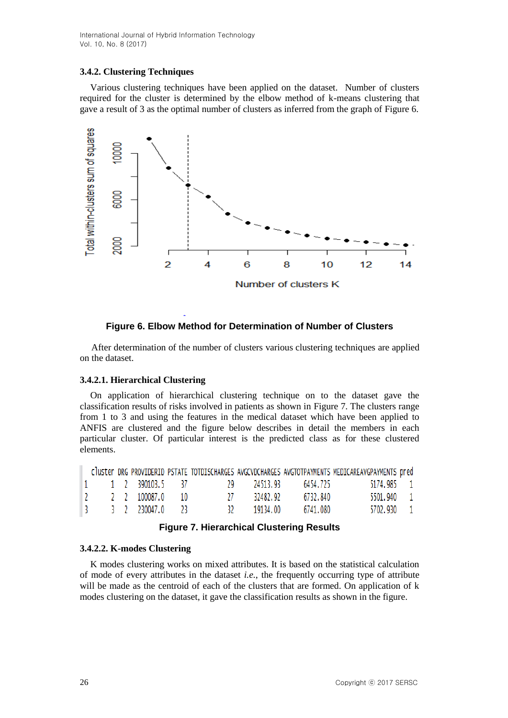International Journal of Hybrid Information Technology Vol. 10, No. 8 (2017)

#### **3.4.2. Clustering Techniques**

Various clustering techniques have been applied on the dataset. Number of clusters required for the cluster is determined by the elbow method of k-means clustering that gave a result of 3 as the optimal number of clusters as inferred from the graph of Figure 6.



#### **Figure 6. Elbow Method for Determination of Number of Clusters**

After determination of the number of clusters various clustering techniques are applied on the dataset.

#### **3.4.2.1. Hierarchical Clustering**

On application of hierarchical clustering technique on to the dataset gave the classification results of risks involved in patients as shown in Figure 7. The clusters range from 1 to 3 and using the features in the medical dataset which have been applied to ANFIS are clustered and the figure below describes in detail the members in each particular cluster. Of particular interest is the predicted class as for these clustered elements.

|  |  |                                                             |                                                                                                                                                                                  |             |          | cluster DRG PROVIDERID PSTATE TOTDISCHARGES AVGCVDCHARGES AVGTOTPAYMENTS MEDICAREAVGPAYMENTS pred |  |
|--|--|-------------------------------------------------------------|----------------------------------------------------------------------------------------------------------------------------------------------------------------------------------|-------------|----------|---------------------------------------------------------------------------------------------------|--|
|  |  |                                                             | $\begin{array}{ccccccc} \parallel 1 \quad & \!\!\!\!\!1\quad & \!\!\!\!\!2\quad & \!\!\!\!\!390103.5 \quad & \!\!\!\!\!37 \quad & \!\!\!\!\!29 & \!\!\!\!\!24513.93 \end{array}$ |             | 6454.725 | 5174.985 1                                                                                        |  |
|  |  | $\begin{array}{cccc} 2 & 2 & 2 & 100087.0 & 10 \end{array}$ | 27 L                                                                                                                                                                             | 32482.92    | 6732.840 | 5501.940 1                                                                                        |  |
|  |  | 3 3 2 230047.0 23                                           |                                                                                                                                                                                  | 32 19134.00 | 6741.080 | 5702.930 1                                                                                        |  |

#### **Figure 7. Hierarchical Clustering Results**

#### **3.4.2.2. K-modes Clustering**

K modes clustering works on mixed attributes. It is based on the statistical calculation of mode of every attributes in the dataset *i.e.*, the frequently occurring type of attribute will be made as the centroid of each of the clusters that are formed. On application of k modes clustering on the dataset, it gave the classification results as shown in the figure.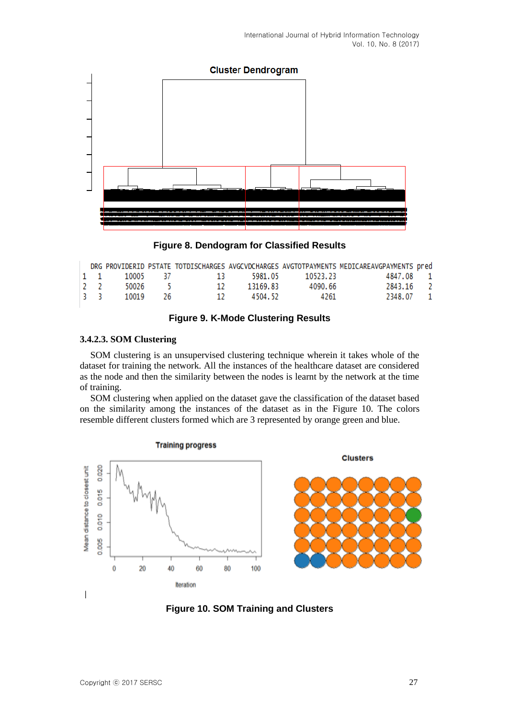

**Figure 8. Dendogram for Classified Results**

|     |  |                         |                                                                                          | DRG PROVIDERID PSTATE TOTDISCHARGES AVGCVDCHARGES AVGTOTPAYMENTS MEDICAREAVGPAYMENTS pred |  |
|-----|--|-------------------------|------------------------------------------------------------------------------------------|-------------------------------------------------------------------------------------------|--|
|     |  |                         | $\begin{array}{cccccccc} \vert 1 & 1 & 10005 & 37 & 13 & 5981.05 & 10523.23 \end{array}$ | 4847.08 1                                                                                 |  |
| 2 2 |  | 50026 5 12 13169.83     | 4090.66                                                                                  | 2843.16 2                                                                                 |  |
|     |  | 3 3 10019 26 12 4504.52 | 4261                                                                                     | 2348.07 1                                                                                 |  |
|     |  |                         |                                                                                          |                                                                                           |  |

#### **Figure 9. K-Mode Clustering Results**

#### **3.4.2.3. SOM Clustering**

SOM clustering is an unsupervised clustering technique wherein it takes whole of the dataset for training the network. All the instances of the healthcare dataset are considered as the node and then the similarity between the nodes is learnt by the network at the time of training.

SOM clustering when applied on the dataset gave the classification of the dataset based on the similarity among the instances of the dataset as in the Figure 10. The colors resemble different clusters formed which are 3 represented by orange green and blue.





**Clusters** 

#### **Figure 10. SOM Training and Clusters**

I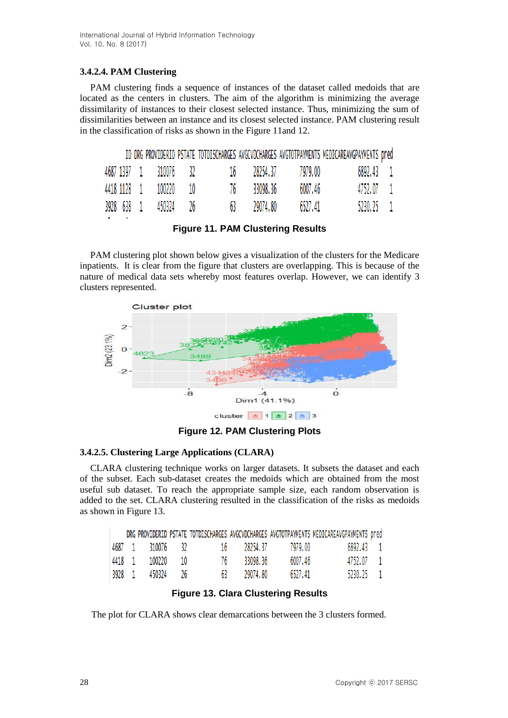## **3.4.2.4. PAM Clustering**

PAM clustering finds a sequence of instances of the dataset called medoids that are located as the centers in clusters. The aim of the algorithm is minimizing the average dissimilarity of instances to their closest selected instance. Thus, minimizing the sum of dissimilarities between an instance and its closest selected instance. PAM clustering result in the classification of risks as shown in the Figure 11and 12.

|  |                       |  |             |                                           | ID DRG PROVIDERID PSTATE TOTDISCHARGES AVGCVDCHARGES AVGTOTPAYMENTS MEDICAREAVGPAYMENTS pred |  |
|--|-----------------------|--|-------------|-------------------------------------------|----------------------------------------------------------------------------------------------|--|
|  |                       |  |             | 4687 1397 1 310076 32 16 28254.37 7979.00 | 6892.43 1                                                                                    |  |
|  | 4418 1128 1 100220 10 |  | 76 33098.36 | 6007.46                                   | 4752.07 1                                                                                    |  |
|  | 3928 638 1 450324 26  |  | 63 29074.80 | 6527.41                                   | 5230.25 1                                                                                    |  |

**Figure 11. PAM Clustering Results**

PAM clustering plot shown below gives a visualization of the clusters for the Medicare inpatients. It is clear from the figure that clusters are overlapping. This is because of the nature of medical data sets whereby most features overlap. However, we can identify 3 clusters represented.



**Figure 12. PAM Clustering Plots**

### **3.4.2.5. Clustering Large Applications (CLARA)**

CLARA clustering technique works on larger datasets. It subsets the dataset and each of the subset. Each sub-dataset creates the medoids which are obtained from the most useful sub dataset. To reach the appropriate sample size, each random observation is added to the set. CLARA clustering resulted in the classification of the risks as medoids as shown in Figure 13.

|        |                  |      |    |             |         | DRG PROVIDERID PSTATE TOTDISCHARGES AVGCVDCHARGES AVGTOTPAYMENTS MEDICAREAVGPAYMENTS pred |  |
|--------|------------------|------|----|-------------|---------|-------------------------------------------------------------------------------------------|--|
|        | 4687 1 310076 32 |      |    | 16 28254.37 | 7979.00 | 6892.43 1                                                                                 |  |
| 4418 1 | 100220           | 10   | 76 | 33098.36    | 6007.46 | 4752.07 1                                                                                 |  |
| 3928 1 | 450324           | - 26 |    | 29074.80    | 6527.41 | 5230.25 1                                                                                 |  |

### **Figure 13. Clara Clustering Results**

The plot for CLARA shows clear demarcations between the 3 clusters formed.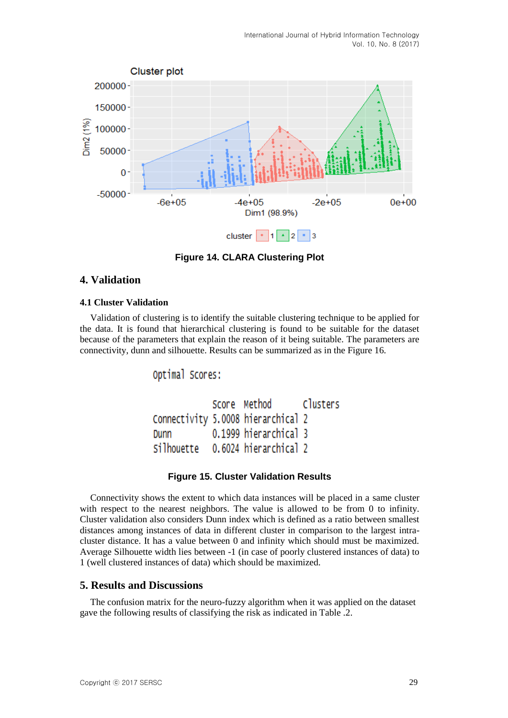

**Figure 14. CLARA Clustering Plot**

## **4. Validation**

#### **4.1 Cluster Validation**

Validation of clustering is to identify the suitable clustering technique to be applied for the data. It is found that hierarchical clustering is found to be suitable for the dataset because of the parameters that explain the reason of it being suitable. The parameters are connectivity, dunn and silhouette. Results can be summarized as in the Figure 16.

Optimal Scores:

```
Score Method
                               Clusters
Connectivity 5.0008 hierarchical 2
            0.1999 hierarchical 3
Dunn
Silhouette 0.6024 hierarchical 2
```
### **Figure 15. Cluster Validation Results**

Connectivity shows the extent to which data instances will be placed in a same cluster with respect to the nearest neighbors. The value is allowed to be from 0 to infinity. Cluster validation also considers Dunn index which is defined as a ratio between smallest distances among instances of data in different cluster in comparison to the largest intracluster distance. It has a value between 0 and infinity which should must be maximized. Average Silhouette width lies between -1 (in case of poorly clustered instances of data) to 1 (well clustered instances of data) which should be maximized.

### **5. Results and Discussions**

The confusion matrix for the neuro-fuzzy algorithm when it was applied on the dataset gave the following results of classifying the risk as indicated in Table .2.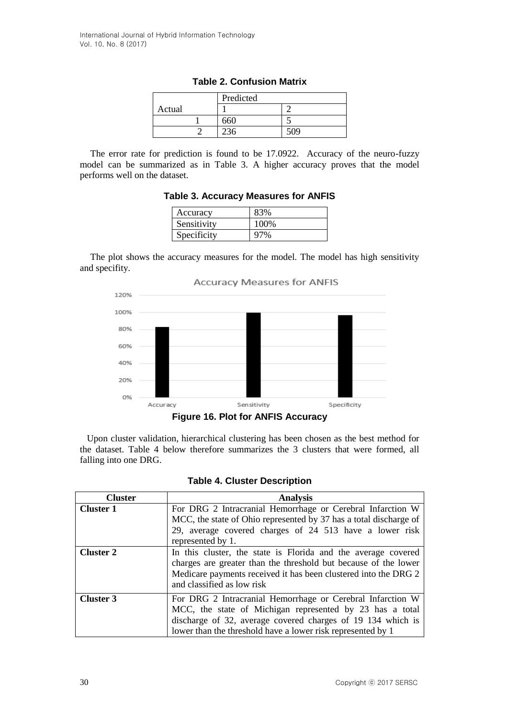|        | Predicted |     |
|--------|-----------|-----|
| Actual |           |     |
|        |           |     |
|        |           | 509 |

**Table 2. Confusion Matrix**

The error rate for prediction is found to be 17.0922. Accuracy of the neuro-fuzzy model can be summarized as in Table 3. A higher accuracy proves that the model performs well on the dataset.

**Table 3. Accuracy Measures for ANFIS**

| Accuracy    | 83%  |
|-------------|------|
| Sensitivity | 100% |
| Specificity | 97%  |

The plot shows the accuracy measures for the model. The model has high sensitivity and specifity.



 Upon cluster validation, hierarchical clustering has been chosen as the best method for the dataset. Table 4 below therefore summarizes the 3 clusters that were formed, all falling into one DRG.

|  |  | <b>Table 4. Cluster Description</b> |
|--|--|-------------------------------------|
|--|--|-------------------------------------|

| <b>Cluster</b>   | <b>Analysis</b>                                                                                                                                                                                                                                      |
|------------------|------------------------------------------------------------------------------------------------------------------------------------------------------------------------------------------------------------------------------------------------------|
| <b>Cluster 1</b> | For DRG 2 Intracranial Hemorrhage or Cerebral Infarction W<br>MCC, the state of Ohio represented by 37 has a total discharge of<br>29, average covered charges of 24 513 have a lower risk<br>represented by 1.                                      |
| <b>Cluster 2</b> | In this cluster, the state is Florida and the average covered<br>charges are greater than the threshold but because of the lower<br>Medicare payments received it has been clustered into the DRG 2<br>and classified as low risk                    |
| <b>Cluster 3</b> | For DRG 2 Intracranial Hemorrhage or Cerebral Infarction W<br>MCC, the state of Michigan represented by 23 has a total<br>discharge of 32, average covered charges of 19 134 which is<br>lower than the threshold have a lower risk represented by 1 |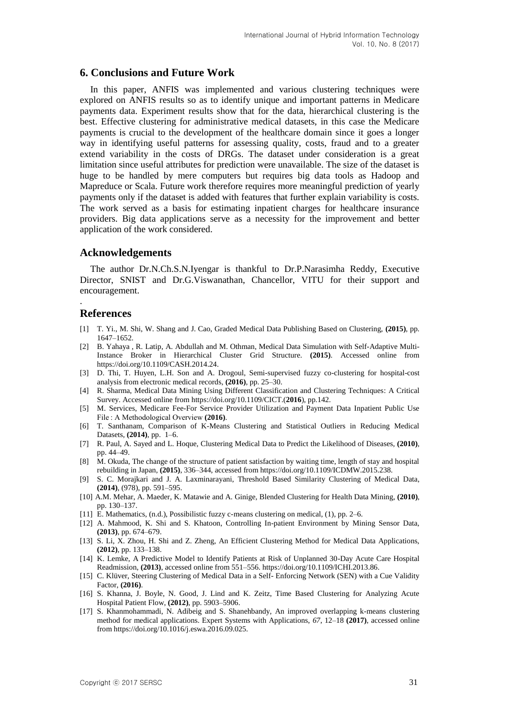#### **6. Conclusions and Future Work**

In this paper, ANFIS was implemented and various clustering techniques were explored on ANFIS results so as to identify unique and important patterns in Medicare payments data. Experiment results show that for the data, hierarchical clustering is the best. Effective clustering for administrative medical datasets, in this case the Medicare payments is crucial to the development of the healthcare domain since it goes a longer way in identifying useful patterns for assessing quality, costs, fraud and to a greater extend variability in the costs of DRGs. The dataset under consideration is a great limitation since useful attributes for prediction were unavailable. The size of the dataset is huge to be handled by mere computers but requires big data tools as Hadoop and Mapreduce or Scala. Future work therefore requires more meaningful prediction of yearly payments only if the dataset is added with features that further explain variability is costs. The work served as a basis for estimating inpatient charges for healthcare insurance providers. Big data applications serve as a necessity for the improvement and better application of the work considered.

#### **Acknowledgements**

The author Dr.N.Ch.S.N.Iyengar is thankful to Dr.P.Narasimha Reddy, Executive Director, SNIST and Dr.G.Viswanathan, Chancellor, VITU for their support and encouragement.

### **References**

.

- [1] T. Yi., M. Shi, W. Shang and J. Cao, Graded Medical Data Publishing Based on Clustering, **(2015)**, pp. 1647–1652.
- [2] B. Yahaya , R. Latip, A. Abdullah and M. Othman, Medical Data Simulation with Self-Adaptive Multi-Instance Broker in Hierarchical Cluster Grid Structure. **(2015)**. Accessed online from https://doi.org/10.1109/CASH.2014.24.
- [3] D. Thi, T. Huyen, L.H. Son and A. Drogoul, Semi-supervised fuzzy co-clustering for hospital-cost analysis from electronic medical records, **(2016)**, pp. 25–30.
- [4] R. Sharma, Medical Data Mining Using Different Classification and Clustering Techniques: A Critical Survey. Accessed online from https://doi.org/10.1109/CICT.(**2016**), pp.142.
- [5] M. Services, Medicare Fee-For Service Provider Utilization and Payment Data Inpatient Public Use File : A Methodological Overview **(2016)**.
- [6] T. Santhanam, Comparison of K-Means Clustering and Statistical Outliers in Reducing Medical Datasets, **(2014)**, pp. 1–6.
- [7] R. Paul, A. Sayed and L. Hoque, Clustering Medical Data to Predict the Likelihood of Diseases, **(2010)**, pp. 44–49.
- [8] M. Okuda, The change of the structure of patient satisfaction by waiting time, length of stay and hospital rebuilding in Japan, **(2015)**, 336–344, accessed from https://doi.org/10.1109/ICDMW.2015.238.
- [9] S. C. Morajkari and J. A. Laxminarayani, Threshold Based Similarity Clustering of Medical Data, **(2014)**, (978), pp. 591–595.
- [10] A.M. Mehar, A. Maeder, K. Matawie and A. Ginige, Blended Clustering for Health Data Mining, **(2010)**, pp. 130–137.
- [11] E. Mathematics, (n.d.), Possibilistic fuzzy c-means clustering on medical, (1), pp. 2–6.
- [12] A. Mahmood, K. Shi and S. Khatoon, Controlling In-patient Environment by Mining Sensor Data, **(2013)**, pp. 674–679.
- [13] S. Li, X. Zhou, H. Shi and Z. Zheng, An Efficient Clustering Method for Medical Data Applications, **(2012)**, pp. 133–138.
- [14] K. Lemke, A Predictive Model to Identify Patients at Risk of Unplanned 30-Day Acute Care Hospital Readmission, **(2013)**, accessed online from 551–556. https://doi.org/10.1109/ICHI.2013.86.
- [15] C. Klüver, Steering Clustering of Medical Data in a Self- Enforcing Network (SEN) with a Cue Validity Factor, **(2016)**.
- [16] S. Khanna, J. Boyle, N. Good, J. Lind and K. Zeitz, Time Based Clustering for Analyzing Acute Hospital Patient Flow, **(2012)**, pp. 5903–5906.
- [17] S. Khanmohammadi, N. Adibeig and S. Shanehbandy, An improved overlapping k-means clustering method for medical applications. Expert Systems with Applications, *67*, 12–18 **(2017)**, accessed online from https://doi.org/10.1016/j.eswa.2016.09.025.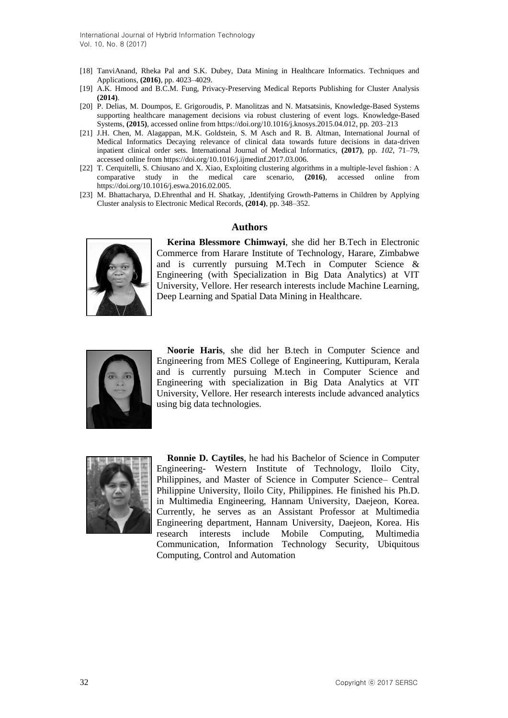International Journal of Hybrid Information Technology Vol. 10, No. 8 (2017)

- [18] TanviAnand, Rheka Pal and S.K. Dubey, Data Mining in Healthcare Informatics. Techniques and Applications, **(2016)**, pp. 4023–4029.
- [19] A.K. Hmood and B.C.M. Fung, Privacy-Preserving Medical Reports Publishing for Cluster Analysis **(2014)**.
- [20] P. Delias, M. Doumpos, E. Grigoroudis, P. Manolitzas and N. Matsatsinis, Knowledge-Based Systems supporting healthcare management decisions via robust clustering of event logs. Knowledge-Based Systems, **(2015)**, accessed online from https://doi.org/10.1016/j.knosys.2015.04.012, pp. 203–213
- [21] J.H. Chen, M. Alagappan, M.K. Goldstein, S. M Asch and R. B. Altman, International Journal of Medical Informatics Decaying relevance of clinical data towards future decisions in data-driven inpatient clinical order sets. International Journal of Medical Informatics*,* **(2017)**, pp. *102*, 71–79, accessed online from https://doi.org/10.1016/j.ijmedinf.2017.03.006.
- [22] T. Cerquitelli, S. Chiusano and X. Xiao, Exploiting clustering algorithms in a multiple-level fashion : A comparative study in the medical care scenario, **(2016)**, accessed online from https://doi.org/10.1016/j.eswa.2016.02.005.
- [23] M. Bhattacharya, D.Ehrenthal and H. Shatkay, ,Identifying Growth-Patterns in Children by Applying Cluster analysis to Electronic Medical Records, **(2014)**, pp. 348–352.

#### **Authors**



**Kerina Blessmore Chimwayi**, she did her B.Tech in Electronic Commerce from Harare Institute of Technology, Harare, Zimbabwe and is currently pursuing M.Tech in Computer Science & Engineering (with Specialization in Big Data Analytics) at VIT University, Vellore. Her research interests include Machine Learning, Deep Learning and Spatial Data Mining in Healthcare.



**Noorie Haris**, she did her B.tech in Computer Science and Engineering from MES College of Engineering, Kuttipuram, Kerala and is currently pursuing M.tech in Computer Science and Engineering with specialization in Big Data Analytics at VIT University, Vellore. Her research interests include advanced analytics using big data technologies.



**Ronnie D. Caytiles**, he had his Bachelor of Science in Computer Engineering- Western Institute of Technology, Iloilo City, Philippines, and Master of Science in Computer Science– Central Philippine University, Iloilo City, Philippines. He finished his Ph.D. in Multimedia Engineering, Hannam University, Daejeon, Korea. Currently, he serves as an Assistant Professor at Multimedia Engineering department, Hannam University, Daejeon, Korea. His research interests include Mobile Computing, Multimedia Communication, Information Technology Security, Ubiquitous Computing, Control and Automation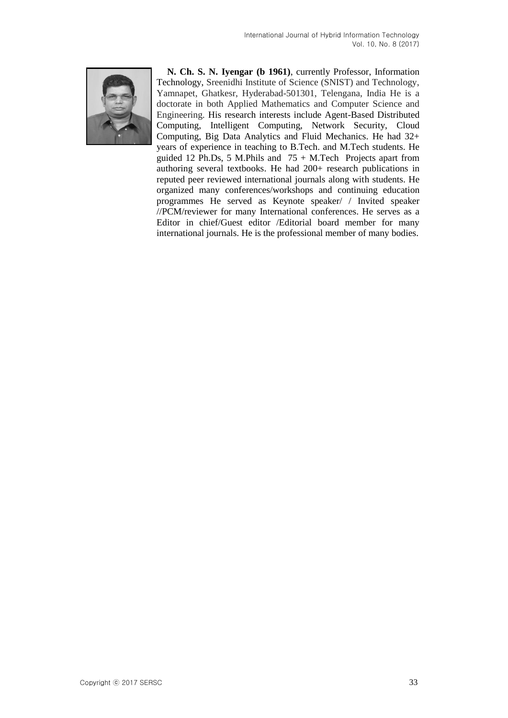

**N. Ch. S. N. Iyengar (b 1961)**, currently Professor, Information Technology, Sreenidhi Institute of Science (SNIST) and Technology, Yamnapet, Ghatkesr, Hyderabad-501301, Telengana, India He is a doctorate in both Applied Mathematics and Computer Science and Engineering. His research interests include Agent-Based Distributed Computing, Intelligent Computing, Network Security, Cloud Computing, Big Data Analytics and Fluid Mechanics. He had 32+ years of experience in teaching to B.Tech. and M.Tech students. He guided 12 Ph.Ds, 5 M.Phils and  $75 + M$ .Tech Projects apart from authoring several textbooks. He had 200+ research publications in reputed peer reviewed international journals along with students. He organized many conferences/workshops and continuing education programmes He served as Keynote speaker/ / Invited speaker //PCM/reviewer for many International conferences. He serves as a Editor in chief/Guest editor /Editorial board member for many international journals. He is the professional member of many bodies.